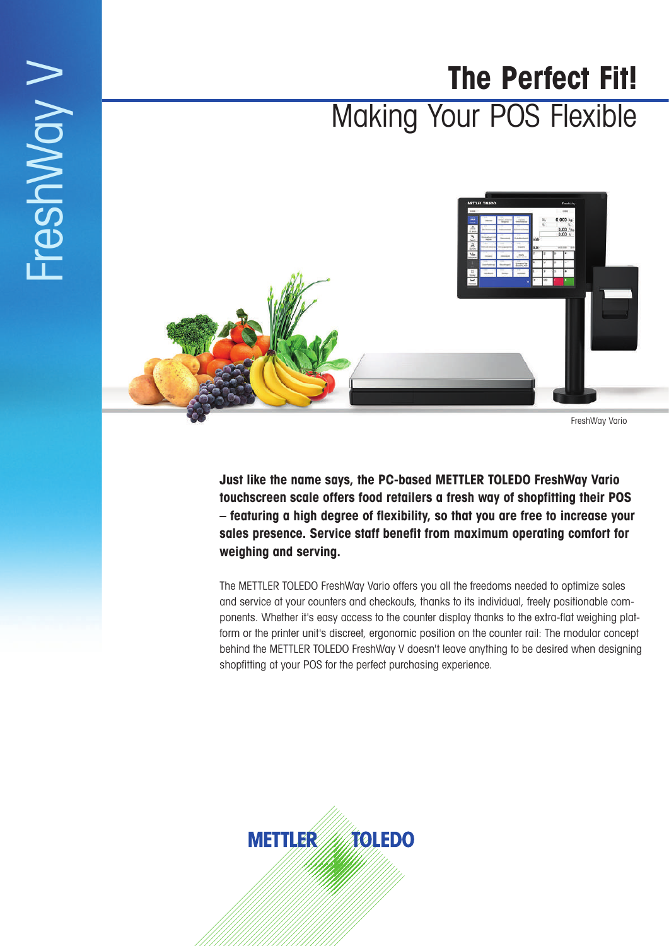# **The Perfect Fit!** Making Your POS Flexible



FreshWay V

FreshWay Vario

**Just like the name says, the PC-based METTLER TOLEDO FreshWay Vario touchscreen scale offers food retailers a fresh way of shopfitting their POS – featuring a high degree of flexibility, so that you are free to increase your sales presence. Service staff benefit from maximum operating comfort for weighing and serving.**

The METTLER TOLEDO FreshWay Vario offers you all the freedoms needed to optimize sales and service at your counters and checkouts, thanks to its individual, freely positionable components. Whether it's easy access to the counter display thanks to the extra-flat weighing platform or the printer unit's discreet, ergonomic position on the counter rail: The modular concept behind the METTLER TOLEDO FreshWay V doesn't leave anything to be desired when designing shopfitting at your POS for the perfect purchasing experience.

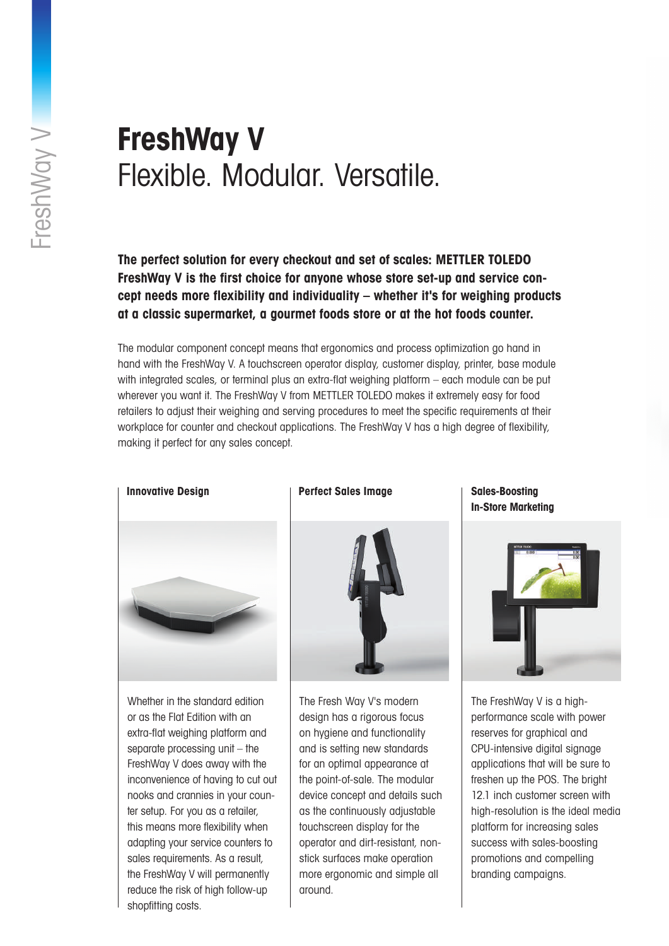## **FreshWay V**  Flexible. Modular. Versatile.

**The perfect solution for every checkout and set of scales: METTLER TOLEDO FreshWay V is the first choice for anyone whose store set-up and service concept needs more flexibility and individuality – whether it's for weighing products at a classic supermarket, a gourmet foods store or at the hot foods counter.**

The modular component concept means that ergonomics and process optimization go hand in hand with the FreshWay V. A touchscreen operator display, customer display, printer, base module with integrated scales, or terminal plus an extra-flat weighing platform – each module can be put wherever you want it. The FreshWay V from METTLER TOLEDO makes it extremely easy for food retailers to adjust their weighing and serving procedures to meet the specific requirements at their workplace for counter and checkout applications. The FreshWay V has a high degree of flexibility, making it perfect for any sales concept.



Whether in the standard edition or as the Flat Edition with an extra-flat weighing platform and separate processing unit – the FreshWay V does away with the inconvenience of having to cut out nooks and crannies in your counter setup. For you as a retailer, this means more flexibility when adapting your service counters to sales requirements. As a result, the FreshWay V will permanently reduce the risk of high follow-up shopfitting costs.

### **Perfect Sales Image**



The Fresh Way V's modern design has a rigorous focus on hygiene and functionality and is setting new standards for an optimal appearance at the point-of-sale. The modular device concept and details such as the continuously adjustable touchscreen display for the operator and dirt-resistant, nonstick surfaces make operation more ergonomic and simple all around.

**Sales-Boosting In-Store Marketing**



The FreshWay V is a highperformance scale with power reserves for graphical and CPU-intensive digital signage applications that will be sure to freshen up the POS. The bright 12.1 inch customer screen with high-resolution is the ideal media platform for increasing sales success with sales-boosting promotions and compelling branding campaigns.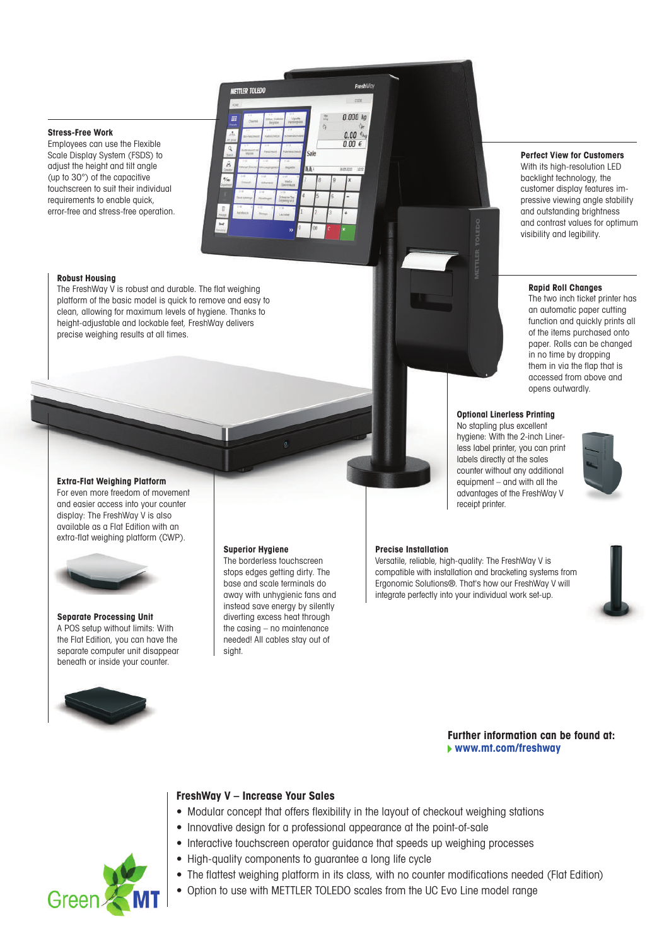### **Stress-Free Work**

Employees can use the Flexible Scale Display System (FSDS) to adjust the height and tilt angle (up to 30°) of the capacitive touchscreen to suit their individual requirements to enable quick, error-free and stress-free operation.



### **Robust Housing**

The FreshWay V is robust and durable. The flat weighing platform of the basic model is quick to remove and easy to clean, allowing for maximum levels of hygiene. Thanks to height-adjustable and lockable feet, FreshWay delivers precise weighing results at all times.

### **Extra-Flat Weighing Platform**

For even more freedom of movement and easier access into your counter display: The FreshWay V is also available as a Flat Edition with an extra-flat weighing platform (CWP).



**Separate Processing Unit** A POS setup without limits: With the Flat Edition, you can have the separate computer unit disappear beneath or inside your counter.



#### **Superior Hygiene**

The borderless touchscreen stops edges getting dirty. The base and scale terminals do away with unhygienic fans and instead save energy by silently diverting excess heat through the casing – no maintenance needed! All cables stay out of sight.

### **Precise Installation**

Versatile, reliable, high-quality: The FreshWay V is compatible with installation and bracketing systems from Ergonomic Solutions®. That's how our FreshWay V will integrate perfectly into your individual work set-up.

### **Further information can be found at: www.mt.com/freshway**



### **FreshWay V – Increase Your Sales**

- Modular concept that offers flexibility in the layout of checkout weighing stations
- Innovative design for a professional appearance at the point-of-sale
- Interactive touchscreen operator guidance that speeds up weighing processes
- High-quality components to guarantee a long life cycle
- The flattest weighing platform in its class, with no counter modifications needed (Flat Edition)
- Option to use with METTLER TOLEDO scales from the UC Evo Line model range

### **Perfect View for Customers**

With its high-resolution LED backlight technology, the customer display features impressive viewing angle stability and outstanding brightness and contrast values for optimum visibility and legibility.

### **Rapid Roll Changes**

The two inch ticket printer has an automatic paper cutting function and quickly prints all of the items purchased onto paper. Rolls can be changed in no time by dropping them in via the flap that is accessed from above and opens outwardly.

### **Optional Linerless Printing**

No stapling plus excellent hygiene: With the 2-inch Linerless label printer, you can print labels directly at the sales counter without any additional equipment – and with all the advantages of the FreshWay V receipt printer.